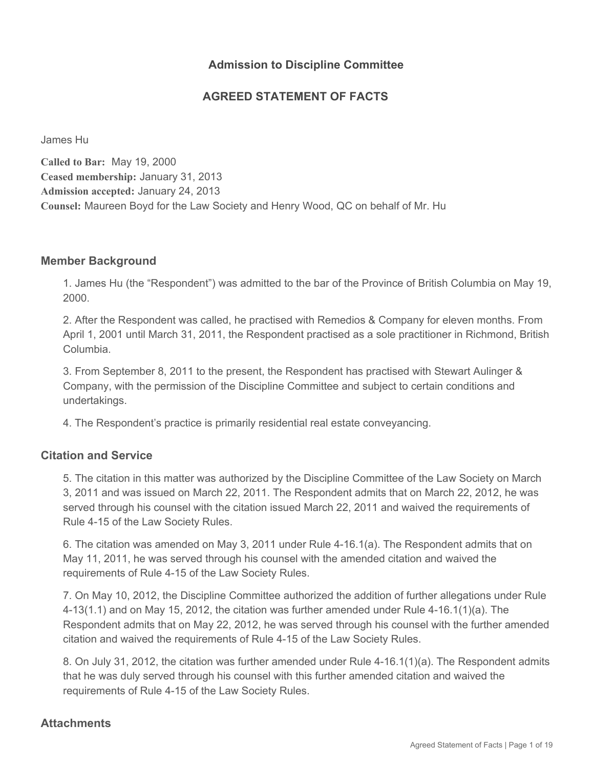### **Admission to Discipline Committee**

### **AGREED STATEMENT OF FACTS**

James Hu

**Called to Bar:** May 19, 2000 **Ceased membership:** January 31, 2013 **Admission accepted:** January 24, 2013 **Counsel:** Maureen Boyd for the Law Society and Henry Wood, QC on behalf of Mr. Hu

#### **Member Background**

1. James Hu (the "Respondent") was admitted to the bar of the Province of British Columbia on May 19, 2000.

2. After the Respondent was called, he practised with Remedios & Company for eleven months. From April 1, 2001 until March 31, 2011, the Respondent practised as a sole practitioner in Richmond, British Columbia.

3. From September 8, 2011 to the present, the Respondent has practised with Stewart Aulinger & Company, with the permission of the Discipline Committee and subject to certain conditions and undertakings.

4. The Respondent's practice is primarily residential real estate conveyancing.

### **Citation and Service**

5. The citation in this matter was authorized by the Discipline Committee of the Law Society on March 3, 2011 and was issued on March 22, 2011. The Respondent admits that on March 22, 2012, he was served through his counsel with the citation issued March 22, 2011 and waived the requirements of Rule 4-15 of the Law Society Rules.

6. The citation was amended on May 3, 2011 under Rule 4-16.1(a). The Respondent admits that on May 11, 2011, he was served through his counsel with the amended citation and waived the requirements of Rule 4-15 of the Law Society Rules.

7. On May 10, 2012, the Discipline Committee authorized the addition of further allegations under Rule 4-13(1.1) and on May 15, 2012, the citation was further amended under Rule 4-16.1(1)(a). The Respondent admits that on May 22, 2012, he was served through his counsel with the further amended citation and waived the requirements of Rule 4-15 of the Law Society Rules.

8. On July 31, 2012, the citation was further amended under Rule 4-16.1(1)(a). The Respondent admits that he was duly served through his counsel with this further amended citation and waived the requirements of Rule 4-15 of the Law Society Rules.

#### **Attachments**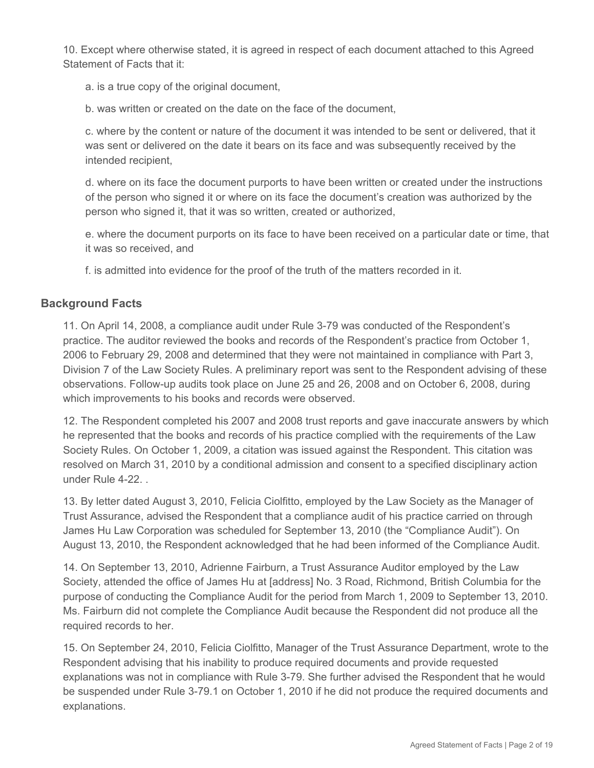10. Except where otherwise stated, it is agreed in respect of each document attached to this Agreed Statement of Facts that it:

a. is a true copy of the original document,

b. was written or created on the date on the face of the document,

c. where by the content or nature of the document it was intended to be sent or delivered, that it was sent or delivered on the date it bears on its face and was subsequently received by the intended recipient,

d. where on its face the document purports to have been written or created under the instructions of the person who signed it or where on its face the document's creation was authorized by the person who signed it, that it was so written, created or authorized,

e. where the document purports on its face to have been received on a particular date or time, that it was so received, and

f. is admitted into evidence for the proof of the truth of the matters recorded in it.

### **Background Facts**

11. On April 14, 2008, a compliance audit under Rule 3-79 was conducted of the Respondent's practice. The auditor reviewed the books and records of the Respondent's practice from October 1, 2006 to February 29, 2008 and determined that they were not maintained in compliance with Part 3, Division 7 of the Law Society Rules. A preliminary report was sent to the Respondent advising of these observations. Follow-up audits took place on June 25 and 26, 2008 and on October 6, 2008, during which improvements to his books and records were observed.

12. The Respondent completed his 2007 and 2008 trust reports and gave inaccurate answers by which he represented that the books and records of his practice complied with the requirements of the Law Society Rules. On October 1, 2009, a citation was issued against the Respondent. This citation was resolved on March 31, 2010 by a conditional admission and consent to a specified disciplinary action under Rule 4-22. .

13. By letter dated August 3, 2010, Felicia Ciolfitto, employed by the Law Society as the Manager of Trust Assurance, advised the Respondent that a compliance audit of his practice carried on through James Hu Law Corporation was scheduled for September 13, 2010 (the "Compliance Audit"). On August 13, 2010, the Respondent acknowledged that he had been informed of the Compliance Audit.

14. On September 13, 2010, Adrienne Fairburn, a Trust Assurance Auditor employed by the Law Society, attended the office of James Hu at [address] No. 3 Road, Richmond, British Columbia for the purpose of conducting the Compliance Audit for the period from March 1, 2009 to September 13, 2010. Ms. Fairburn did not complete the Compliance Audit because the Respondent did not produce all the required records to her.

15. On September 24, 2010, Felicia Ciolfitto, Manager of the Trust Assurance Department, wrote to the Respondent advising that his inability to produce required documents and provide requested explanations was not in compliance with Rule 3-79. She further advised the Respondent that he would be suspended under Rule 3-79.1 on October 1, 2010 if he did not produce the required documents and explanations.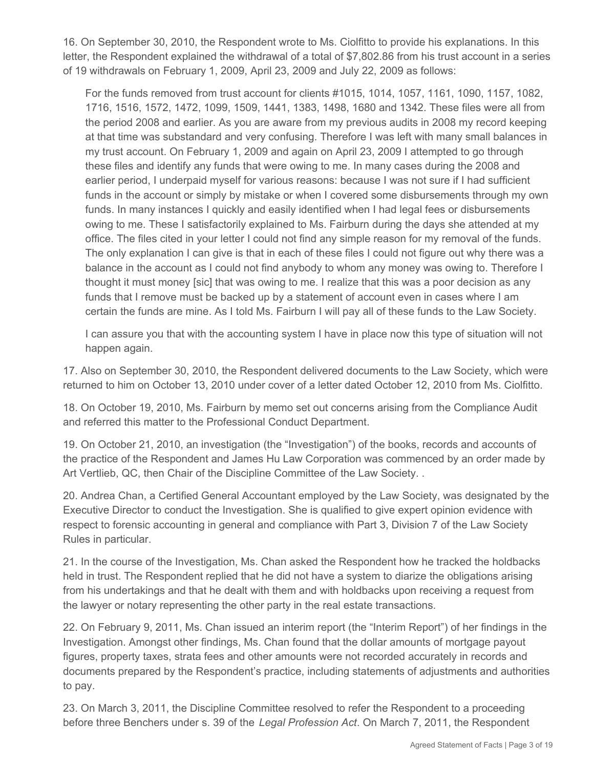16. On September 30, 2010, the Respondent wrote to Ms. Ciolfitto to provide his explanations. In this letter, the Respondent explained the withdrawal of a total of \$7,802.86 from his trust account in a series of 19 withdrawals on February 1, 2009, April 23, 2009 and July 22, 2009 as follows:

For the funds removed from trust account for clients #1015, 1014, 1057, 1161, 1090, 1157, 1082, 1716, 1516, 1572, 1472, 1099, 1509, 1441, 1383, 1498, 1680 and 1342. These files were all from the period 2008 and earlier. As you are aware from my previous audits in 2008 my record keeping at that time was substandard and very confusing. Therefore I was left with many small balances in my trust account. On February 1, 2009 and again on April 23, 2009 I attempted to go through these files and identify any funds that were owing to me. In many cases during the 2008 and earlier period, I underpaid myself for various reasons: because I was not sure if I had sufficient funds in the account or simply by mistake or when I covered some disbursements through my own funds. In many instances I quickly and easily identified when I had legal fees or disbursements owing to me. These I satisfactorily explained to Ms. Fairburn during the days she attended at my office. The files cited in your letter I could not find any simple reason for my removal of the funds. The only explanation I can give is that in each of these files I could not figure out why there was a balance in the account as I could not find anybody to whom any money was owing to. Therefore I thought it must money [sic] that was owing to me. I realize that this was a poor decision as any funds that I remove must be backed up by a statement of account even in cases where I am certain the funds are mine. As I told Ms. Fairburn I will pay all of these funds to the Law Society.

I can assure you that with the accounting system I have in place now this type of situation will not happen again.

17. Also on September 30, 2010, the Respondent delivered documents to the Law Society, which were returned to him on October 13, 2010 under cover of a letter dated October 12, 2010 from Ms. Ciolfitto.

18. On October 19, 2010, Ms. Fairburn by memo set out concerns arising from the Compliance Audit and referred this matter to the Professional Conduct Department.

19. On October 21, 2010, an investigation (the "Investigation") of the books, records and accounts of the practice of the Respondent and James Hu Law Corporation was commenced by an order made by Art Vertlieb, QC, then Chair of the Discipline Committee of the Law Society. .

20. Andrea Chan, a Certified General Accountant employed by the Law Society, was designated by the Executive Director to conduct the Investigation. She is qualified to give expert opinion evidence with respect to forensic accounting in general and compliance with Part 3, Division 7 of the Law Society Rules in particular.

21. In the course of the Investigation, Ms. Chan asked the Respondent how he tracked the holdbacks held in trust. The Respondent replied that he did not have a system to diarize the obligations arising from his undertakings and that he dealt with them and with holdbacks upon receiving a request from the lawyer or notary representing the other party in the real estate transactions.

22. On February 9, 2011, Ms. Chan issued an interim report (the "Interim Report") of her findings in the Investigation. Amongst other findings, Ms. Chan found that the dollar amounts of mortgage payout figures, property taxes, strata fees and other amounts were not recorded accurately in records and documents prepared by the Respondent's practice, including statements of adjustments and authorities to pay.

23. On March 3, 2011, the Discipline Committee resolved to refer the Respondent to a proceeding before three Benchers under s. 39 of the *Legal Profession Act*. On March 7, 2011, the Respondent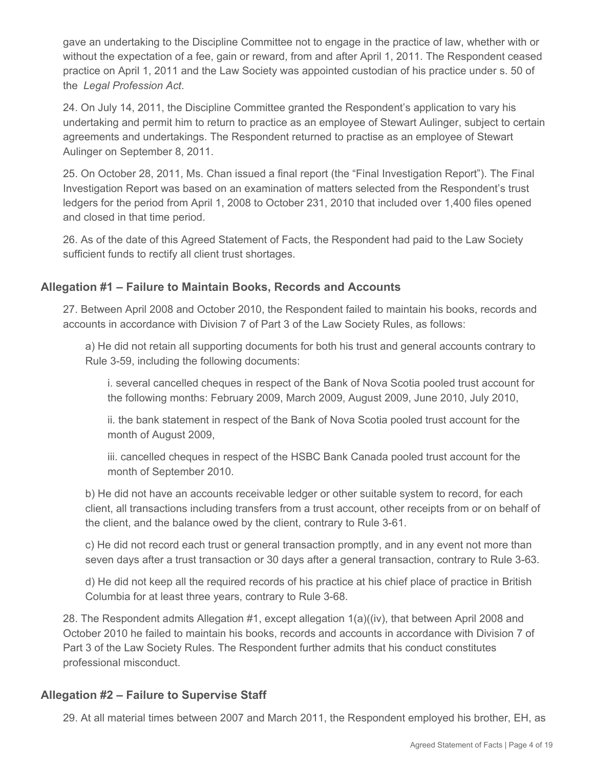gave an undertaking to the Discipline Committee not to engage in the practice of law, whether with or without the expectation of a fee, gain or reward, from and after April 1, 2011. The Respondent ceased practice on April 1, 2011 and the Law Society was appointed custodian of his practice under s. 50 of the *Legal Profession Act*.

24. On July 14, 2011, the Discipline Committee granted the Respondent's application to vary his undertaking and permit him to return to practice as an employee of Stewart Aulinger, subject to certain agreements and undertakings. The Respondent returned to practise as an employee of Stewart Aulinger on September 8, 2011.

25. On October 28, 2011, Ms. Chan issued a final report (the "Final Investigation Report"). The Final Investigation Report was based on an examination of matters selected from the Respondent's trust ledgers for the period from April 1, 2008 to October 231, 2010 that included over 1,400 files opened and closed in that time period.

26. As of the date of this Agreed Statement of Facts, the Respondent had paid to the Law Society sufficient funds to rectify all client trust shortages.

### **Allegation #1 – Failure to Maintain Books, Records and Accounts**

27. Between April 2008 and October 2010, the Respondent failed to maintain his books, records and accounts in accordance with Division 7 of Part 3 of the Law Society Rules, as follows:

a) He did not retain all supporting documents for both his trust and general accounts contrary to Rule 3-59, including the following documents:

i. several cancelled cheques in respect of the Bank of Nova Scotia pooled trust account for the following months: February 2009, March 2009, August 2009, June 2010, July 2010,

ii. the bank statement in respect of the Bank of Nova Scotia pooled trust account for the month of August 2009,

iii. cancelled cheques in respect of the HSBC Bank Canada pooled trust account for the month of September 2010.

b) He did not have an accounts receivable ledger or other suitable system to record, for each client, all transactions including transfers from a trust account, other receipts from or on behalf of the client, and the balance owed by the client, contrary to Rule 3-61.

c) He did not record each trust or general transaction promptly, and in any event not more than seven days after a trust transaction or 30 days after a general transaction, contrary to Rule 3-63.

d) He did not keep all the required records of his practice at his chief place of practice in British Columbia for at least three years, contrary to Rule 3-68.

28. The Respondent admits Allegation #1, except allegation 1(a)((iv), that between April 2008 and October 2010 he failed to maintain his books, records and accounts in accordance with Division 7 of Part 3 of the Law Society Rules. The Respondent further admits that his conduct constitutes professional misconduct.

#### **Allegation #2 – Failure to Supervise Staff**

29. At all material times between 2007 and March 2011, the Respondent employed his brother, EH, as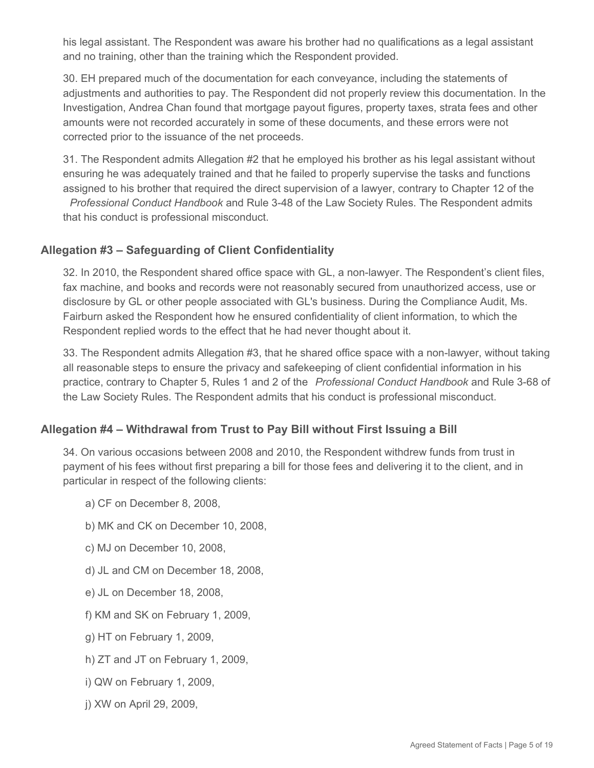his legal assistant. The Respondent was aware his brother had no qualifications as a legal assistant and no training, other than the training which the Respondent provided.

30. EH prepared much of the documentation for each conveyance, including the statements of adjustments and authorities to pay. The Respondent did not properly review this documentation. In the Investigation, Andrea Chan found that mortgage payout figures, property taxes, strata fees and other amounts were not recorded accurately in some of these documents, and these errors were not corrected prior to the issuance of the net proceeds.

31. The Respondent admits Allegation #2 that he employed his brother as his legal assistant without ensuring he was adequately trained and that he failed to properly supervise the tasks and functions assigned to his brother that required the direct supervision of a lawyer, contrary to Chapter 12 of the *Professional Conduct Handbook* and Rule 3-48 of the Law Society Rules. The Respondent admits

that his conduct is professional misconduct.

## **Allegation #3 – Safeguarding of Client Confidentiality**

32. In 2010, the Respondent shared office space with GL, a non-lawyer. The Respondent's client files, fax machine, and books and records were not reasonably secured from unauthorized access, use or disclosure by GL or other people associated with GL's business. During the Compliance Audit, Ms. Fairburn asked the Respondent how he ensured confidentiality of client information, to which the Respondent replied words to the effect that he had never thought about it.

33. The Respondent admits Allegation #3, that he shared office space with a non-lawyer, without taking all reasonable steps to ensure the privacy and safekeeping of client confidential information in his practice, contrary to Chapter 5, Rules 1 and 2 of the *Professional Conduct Handbook* and Rule 3-68 of the Law Society Rules. The Respondent admits that his conduct is professional misconduct.

#### **Allegation #4 – Withdrawal from Trust to Pay Bill without First Issuing a Bill**

34. On various occasions between 2008 and 2010, the Respondent withdrew funds from trust in payment of his fees without first preparing a bill for those fees and delivering it to the client, and in particular in respect of the following clients:

- a) CF on December 8, 2008,
- b) MK and CK on December 10, 2008,
- c) MJ on December 10, 2008,
- d) JL and CM on December 18, 2008,
- e) JL on December 18, 2008,
- f) KM and SK on February 1, 2009,
- g) HT on February 1, 2009,
- h) ZT and JT on February 1, 2009,
- i) QW on February 1, 2009,
- j) XW on April 29, 2009,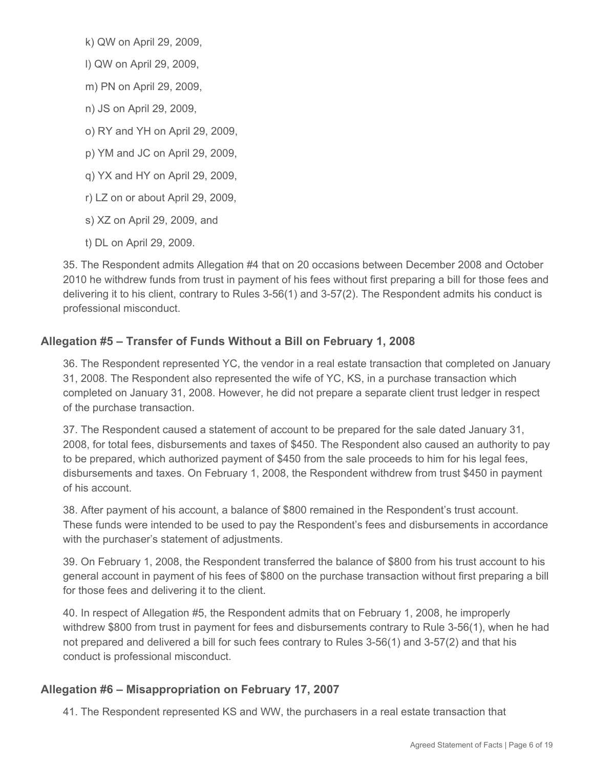k) QW on April 29, 2009,

l) QW on April 29, 2009,

m) PN on April 29, 2009,

n) JS on April 29, 2009,

o) RY and YH on April 29, 2009,

p) YM and JC on April 29, 2009,

q) YX and HY on April 29, 2009,

r) LZ on or about April 29, 2009,

s) XZ on April 29, 2009, and

t) DL on April 29, 2009.

35. The Respondent admits Allegation #4 that on 20 occasions between December 2008 and October 2010 he withdrew funds from trust in payment of his fees without first preparing a bill for those fees and delivering it to his client, contrary to Rules 3-56(1) and 3-57(2). The Respondent admits his conduct is professional misconduct.

## **Allegation #5 – Transfer of Funds Without a Bill on February 1, 2008**

36. The Respondent represented YC, the vendor in a real estate transaction that completed on January 31, 2008. The Respondent also represented the wife of YC, KS, in a purchase transaction which completed on January 31, 2008. However, he did not prepare a separate client trust ledger in respect of the purchase transaction.

37. The Respondent caused a statement of account to be prepared for the sale dated January 31, 2008, for total fees, disbursements and taxes of \$450. The Respondent also caused an authority to pay to be prepared, which authorized payment of \$450 from the sale proceeds to him for his legal fees, disbursements and taxes. On February 1, 2008, the Respondent withdrew from trust \$450 in payment of his account.

38. After payment of his account, a balance of \$800 remained in the Respondent's trust account. These funds were intended to be used to pay the Respondent's fees and disbursements in accordance with the purchaser's statement of adjustments.

39. On February 1, 2008, the Respondent transferred the balance of \$800 from his trust account to his general account in payment of his fees of \$800 on the purchase transaction without first preparing a bill for those fees and delivering it to the client.

40. In respect of Allegation #5, the Respondent admits that on February 1, 2008, he improperly withdrew \$800 from trust in payment for fees and disbursements contrary to Rule 3-56(1), when he had not prepared and delivered a bill for such fees contrary to Rules 3-56(1) and 3-57(2) and that his conduct is professional misconduct.

## **Allegation #6 – Misappropriation on February 17, 2007**

41. The Respondent represented KS and WW, the purchasers in a real estate transaction that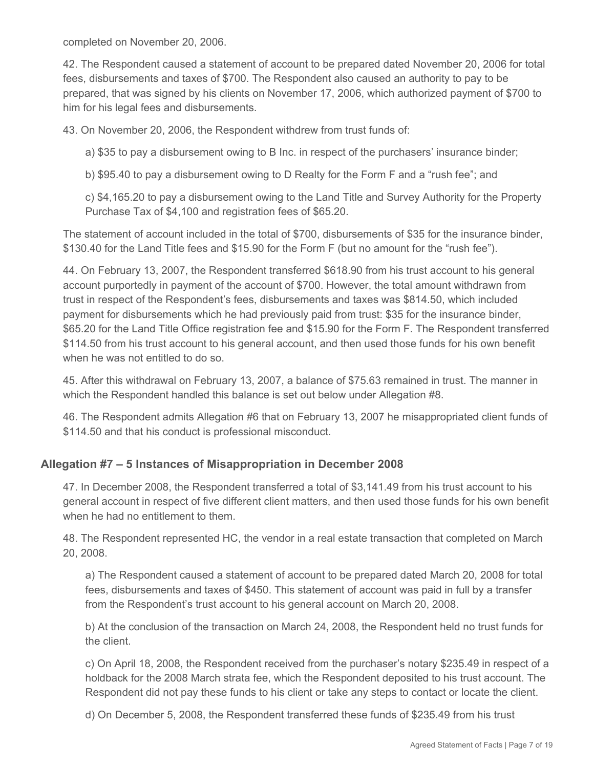completed on November 20, 2006.

42. The Respondent caused a statement of account to be prepared dated November 20, 2006 for total fees, disbursements and taxes of \$700. The Respondent also caused an authority to pay to be prepared, that was signed by his clients on November 17, 2006, which authorized payment of \$700 to him for his legal fees and disbursements.

43. On November 20, 2006, the Respondent withdrew from trust funds of:

a) \$35 to pay a disbursement owing to B Inc. in respect of the purchasers' insurance binder;

b) \$95.40 to pay a disbursement owing to D Realty for the Form F and a "rush fee"; and

c) \$4,165.20 to pay a disbursement owing to the Land Title and Survey Authority for the Property Purchase Tax of \$4,100 and registration fees of \$65.20.

The statement of account included in the total of \$700, disbursements of \$35 for the insurance binder, \$130.40 for the Land Title fees and \$15.90 for the Form F (but no amount for the "rush fee").

44. On February 13, 2007, the Respondent transferred \$618.90 from his trust account to his general account purportedly in payment of the account of \$700. However, the total amount withdrawn from trust in respect of the Respondent's fees, disbursements and taxes was \$814.50, which included payment for disbursements which he had previously paid from trust: \$35 for the insurance binder, \$65.20 for the Land Title Office registration fee and \$15.90 for the Form F. The Respondent transferred \$114.50 from his trust account to his general account, and then used those funds for his own benefit when he was not entitled to do so.

45. After this withdrawal on February 13, 2007, a balance of \$75.63 remained in trust. The manner in which the Respondent handled this balance is set out below under Allegation #8.

46. The Respondent admits Allegation #6 that on February 13, 2007 he misappropriated client funds of \$114.50 and that his conduct is professional misconduct.

#### **Allegation #7 – 5 Instances of Misappropriation in December 2008**

47. In December 2008, the Respondent transferred a total of \$3,141.49 from his trust account to his general account in respect of five different client matters, and then used those funds for his own benefit when he had no entitlement to them.

48. The Respondent represented HC, the vendor in a real estate transaction that completed on March 20, 2008.

a) The Respondent caused a statement of account to be prepared dated March 20, 2008 for total fees, disbursements and taxes of \$450. This statement of account was paid in full by a transfer from the Respondent's trust account to his general account on March 20, 2008.

b) At the conclusion of the transaction on March 24, 2008, the Respondent held no trust funds for the client.

c) On April 18, 2008, the Respondent received from the purchaser's notary \$235.49 in respect of a holdback for the 2008 March strata fee, which the Respondent deposited to his trust account. The Respondent did not pay these funds to his client or take any steps to contact or locate the client.

d) On December 5, 2008, the Respondent transferred these funds of \$235.49 from his trust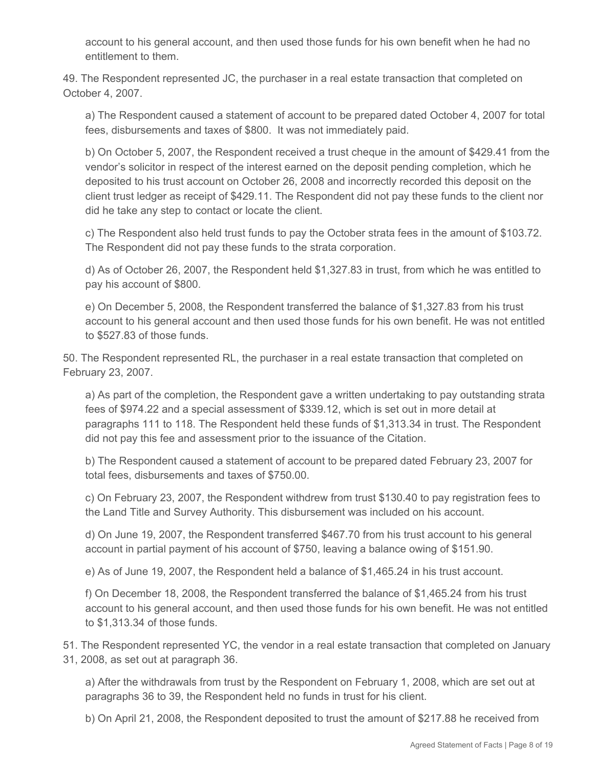account to his general account, and then used those funds for his own benefit when he had no entitlement to them.

49. The Respondent represented JC, the purchaser in a real estate transaction that completed on October 4, 2007.

a) The Respondent caused a statement of account to be prepared dated October 4, 2007 for total fees, disbursements and taxes of \$800. It was not immediately paid.

b) On October 5, 2007, the Respondent received a trust cheque in the amount of \$429.41 from the vendor's solicitor in respect of the interest earned on the deposit pending completion, which he deposited to his trust account on October 26, 2008 and incorrectly recorded this deposit on the client trust ledger as receipt of \$429.11. The Respondent did not pay these funds to the client nor did he take any step to contact or locate the client.

c) The Respondent also held trust funds to pay the October strata fees in the amount of \$103.72. The Respondent did not pay these funds to the strata corporation.

d) As of October 26, 2007, the Respondent held \$1,327.83 in trust, from which he was entitled to pay his account of \$800.

e) On December 5, 2008, the Respondent transferred the balance of \$1,327.83 from his trust account to his general account and then used those funds for his own benefit. He was not entitled to \$527.83 of those funds.

50. The Respondent represented RL, the purchaser in a real estate transaction that completed on February 23, 2007.

a) As part of the completion, the Respondent gave a written undertaking to pay outstanding strata fees of \$974.22 and a special assessment of \$339.12, which is set out in more detail at paragraphs 111 to 118. The Respondent held these funds of \$1,313.34 in trust. The Respondent did not pay this fee and assessment prior to the issuance of the Citation.

b) The Respondent caused a statement of account to be prepared dated February 23, 2007 for total fees, disbursements and taxes of \$750.00.

c) On February 23, 2007, the Respondent withdrew from trust \$130.40 to pay registration fees to the Land Title and Survey Authority. This disbursement was included on his account.

d) On June 19, 2007, the Respondent transferred \$467.70 from his trust account to his general account in partial payment of his account of \$750, leaving a balance owing of \$151.90.

e) As of June 19, 2007, the Respondent held a balance of \$1,465.24 in his trust account.

f) On December 18, 2008, the Respondent transferred the balance of \$1,465.24 from his trust account to his general account, and then used those funds for his own benefit. He was not entitled to \$1,313.34 of those funds.

51. The Respondent represented YC, the vendor in a real estate transaction that completed on January 31, 2008, as set out at paragraph 36.

a) After the withdrawals from trust by the Respondent on February 1, 2008, which are set out at paragraphs 36 to 39, the Respondent held no funds in trust for his client.

b) On April 21, 2008, the Respondent deposited to trust the amount of \$217.88 he received from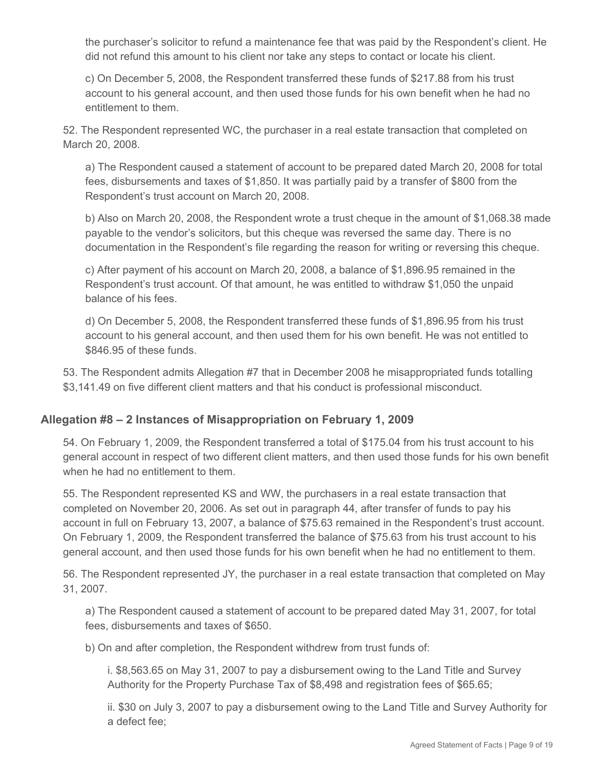the purchaser's solicitor to refund a maintenance fee that was paid by the Respondent's client. He did not refund this amount to his client nor take any steps to contact or locate his client.

c) On December 5, 2008, the Respondent transferred these funds of \$217.88 from his trust account to his general account, and then used those funds for his own benefit when he had no entitlement to them.

52. The Respondent represented WC, the purchaser in a real estate transaction that completed on March 20, 2008.

a) The Respondent caused a statement of account to be prepared dated March 20, 2008 for total fees, disbursements and taxes of \$1,850. It was partially paid by a transfer of \$800 from the Respondent's trust account on March 20, 2008.

b) Also on March 20, 2008, the Respondent wrote a trust cheque in the amount of \$1,068.38 made payable to the vendor's solicitors, but this cheque was reversed the same day. There is no documentation in the Respondent's file regarding the reason for writing or reversing this cheque.

c) After payment of his account on March 20, 2008, a balance of \$1,896.95 remained in the Respondent's trust account. Of that amount, he was entitled to withdraw \$1,050 the unpaid balance of his fees.

d) On December 5, 2008, the Respondent transferred these funds of \$1,896.95 from his trust account to his general account, and then used them for his own benefit. He was not entitled to \$846.95 of these funds.

53. The Respondent admits Allegation #7 that in December 2008 he misappropriated funds totalling \$3,141.49 on five different client matters and that his conduct is professional misconduct.

## **Allegation #8 – 2 Instances of Misappropriation on February 1, 2009**

54. On February 1, 2009, the Respondent transferred a total of \$175.04 from his trust account to his general account in respect of two different client matters, and then used those funds for his own benefit when he had no entitlement to them.

55. The Respondent represented KS and WW, the purchasers in a real estate transaction that completed on November 20, 2006. As set out in paragraph 44, after transfer of funds to pay his account in full on February 13, 2007, a balance of \$75.63 remained in the Respondent's trust account. On February 1, 2009, the Respondent transferred the balance of \$75.63 from his trust account to his general account, and then used those funds for his own benefit when he had no entitlement to them.

56. The Respondent represented JY, the purchaser in a real estate transaction that completed on May 31, 2007.

a) The Respondent caused a statement of account to be prepared dated May 31, 2007, for total fees, disbursements and taxes of \$650.

b) On and after completion, the Respondent withdrew from trust funds of:

i. \$8,563.65 on May 31, 2007 to pay a disbursement owing to the Land Title and Survey Authority for the Property Purchase Tax of \$8,498 and registration fees of \$65.65;

ii. \$30 on July 3, 2007 to pay a disbursement owing to the Land Title and Survey Authority for a defect fee;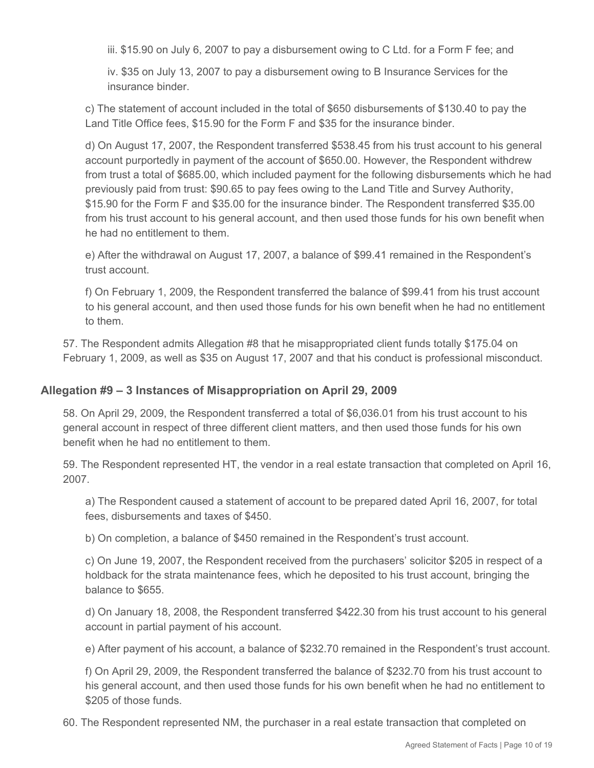iii. \$15.90 on July 6, 2007 to pay a disbursement owing to C Ltd. for a Form F fee; and

iv. \$35 on July 13, 2007 to pay a disbursement owing to B Insurance Services for the insurance binder.

c) The statement of account included in the total of \$650 disbursements of \$130.40 to pay the Land Title Office fees, \$15.90 for the Form F and \$35 for the insurance binder.

d) On August 17, 2007, the Respondent transferred \$538.45 from his trust account to his general account purportedly in payment of the account of \$650.00. However, the Respondent withdrew from trust a total of \$685.00, which included payment for the following disbursements which he had previously paid from trust: \$90.65 to pay fees owing to the Land Title and Survey Authority, \$15.90 for the Form F and \$35.00 for the insurance binder. The Respondent transferred \$35.00 from his trust account to his general account, and then used those funds for his own benefit when he had no entitlement to them.

e) After the withdrawal on August 17, 2007, a balance of \$99.41 remained in the Respondent's trust account.

f) On February 1, 2009, the Respondent transferred the balance of \$99.41 from his trust account to his general account, and then used those funds for his own benefit when he had no entitlement to them.

57. The Respondent admits Allegation #8 that he misappropriated client funds totally \$175.04 on February 1, 2009, as well as \$35 on August 17, 2007 and that his conduct is professional misconduct.

## **Allegation #9 – 3 Instances of Misappropriation on April 29, 2009**

58. On April 29, 2009, the Respondent transferred a total of \$6,036.01 from his trust account to his general account in respect of three different client matters, and then used those funds for his own benefit when he had no entitlement to them.

59. The Respondent represented HT, the vendor in a real estate transaction that completed on April 16, 2007.

a) The Respondent caused a statement of account to be prepared dated April 16, 2007, for total fees, disbursements and taxes of \$450.

b) On completion, a balance of \$450 remained in the Respondent's trust account.

c) On June 19, 2007, the Respondent received from the purchasers' solicitor \$205 in respect of a holdback for the strata maintenance fees, which he deposited to his trust account, bringing the balance to \$655.

d) On January 18, 2008, the Respondent transferred \$422.30 from his trust account to his general account in partial payment of his account.

e) After payment of his account, a balance of \$232.70 remained in the Respondent's trust account.

f) On April 29, 2009, the Respondent transferred the balance of \$232.70 from his trust account to his general account, and then used those funds for his own benefit when he had no entitlement to \$205 of those funds.

60. The Respondent represented NM, the purchaser in a real estate transaction that completed on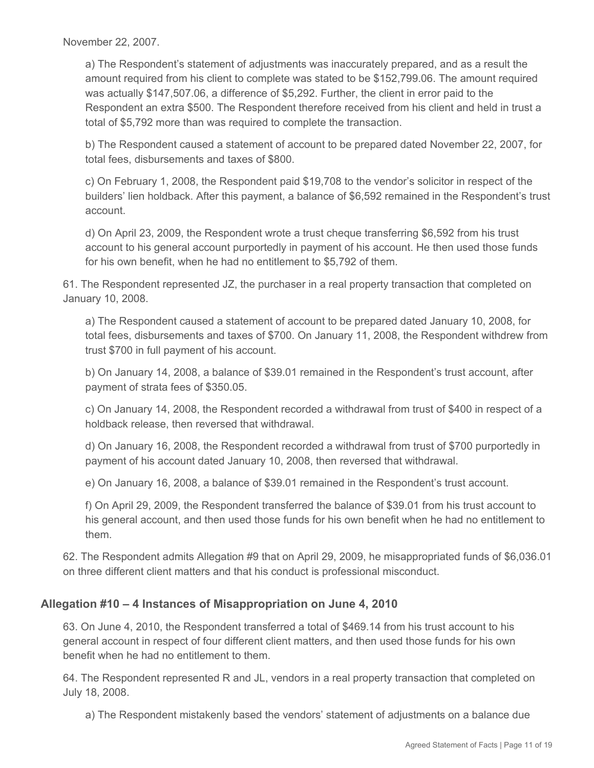November 22, 2007.

a) The Respondent's statement of adjustments was inaccurately prepared, and as a result the amount required from his client to complete was stated to be \$152,799.06. The amount required was actually \$147,507.06, a difference of \$5,292. Further, the client in error paid to the Respondent an extra \$500. The Respondent therefore received from his client and held in trust a total of \$5,792 more than was required to complete the transaction.

b) The Respondent caused a statement of account to be prepared dated November 22, 2007, for total fees, disbursements and taxes of \$800.

c) On February 1, 2008, the Respondent paid \$19,708 to the vendor's solicitor in respect of the builders' lien holdback. After this payment, a balance of \$6,592 remained in the Respondent's trust account.

d) On April 23, 2009, the Respondent wrote a trust cheque transferring \$6,592 from his trust account to his general account purportedly in payment of his account. He then used those funds for his own benefit, when he had no entitlement to \$5,792 of them.

61. The Respondent represented JZ, the purchaser in a real property transaction that completed on January 10, 2008.

a) The Respondent caused a statement of account to be prepared dated January 10, 2008, for total fees, disbursements and taxes of \$700. On January 11, 2008, the Respondent withdrew from trust \$700 in full payment of his account.

b) On January 14, 2008, a balance of \$39.01 remained in the Respondent's trust account, after payment of strata fees of \$350.05.

c) On January 14, 2008, the Respondent recorded a withdrawal from trust of \$400 in respect of a holdback release, then reversed that withdrawal.

d) On January 16, 2008, the Respondent recorded a withdrawal from trust of \$700 purportedly in payment of his account dated January 10, 2008, then reversed that withdrawal.

e) On January 16, 2008, a balance of \$39.01 remained in the Respondent's trust account.

f) On April 29, 2009, the Respondent transferred the balance of \$39.01 from his trust account to his general account, and then used those funds for his own benefit when he had no entitlement to them.

62. The Respondent admits Allegation #9 that on April 29, 2009, he misappropriated funds of \$6,036.01 on three different client matters and that his conduct is professional misconduct.

## **Allegation #10 – 4 Instances of Misappropriation on June 4, 2010**

63. On June 4, 2010, the Respondent transferred a total of \$469.14 from his trust account to his general account in respect of four different client matters, and then used those funds for his own benefit when he had no entitlement to them.

64. The Respondent represented R and JL, vendors in a real property transaction that completed on July 18, 2008.

a) The Respondent mistakenly based the vendors' statement of adjustments on a balance due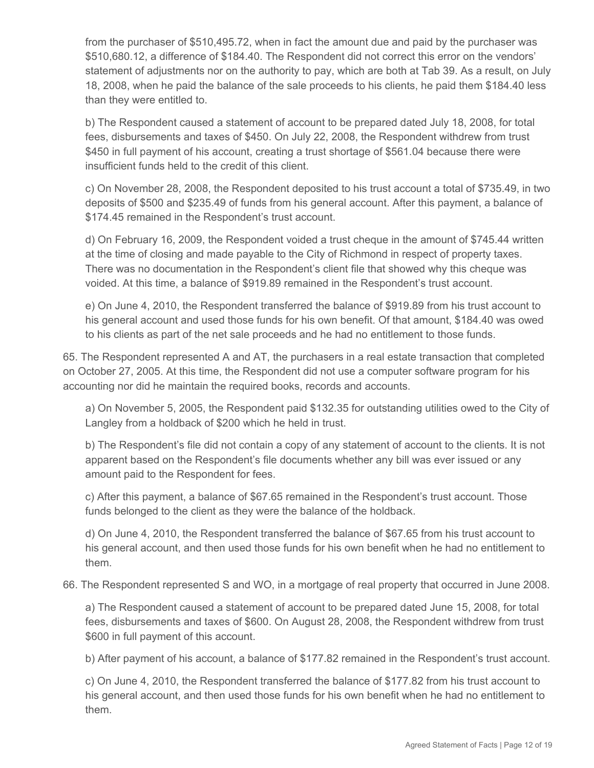from the purchaser of \$510,495.72, when in fact the amount due and paid by the purchaser was \$510,680.12, a difference of \$184.40. The Respondent did not correct this error on the vendors' statement of adjustments nor on the authority to pay, which are both at Tab 39. As a result, on July 18, 2008, when he paid the balance of the sale proceeds to his clients, he paid them \$184.40 less than they were entitled to.

b) The Respondent caused a statement of account to be prepared dated July 18, 2008, for total fees, disbursements and taxes of \$450. On July 22, 2008, the Respondent withdrew from trust \$450 in full payment of his account, creating a trust shortage of \$561.04 because there were insufficient funds held to the credit of this client.

c) On November 28, 2008, the Respondent deposited to his trust account a total of \$735.49, in two deposits of \$500 and \$235.49 of funds from his general account. After this payment, a balance of \$174.45 remained in the Respondent's trust account.

d) On February 16, 2009, the Respondent voided a trust cheque in the amount of \$745.44 written at the time of closing and made payable to the City of Richmond in respect of property taxes. There was no documentation in the Respondent's client file that showed why this cheque was voided. At this time, a balance of \$919.89 remained in the Respondent's trust account.

e) On June 4, 2010, the Respondent transferred the balance of \$919.89 from his trust account to his general account and used those funds for his own benefit. Of that amount, \$184.40 was owed to his clients as part of the net sale proceeds and he had no entitlement to those funds.

65. The Respondent represented A and AT, the purchasers in a real estate transaction that completed on October 27, 2005. At this time, the Respondent did not use a computer software program for his accounting nor did he maintain the required books, records and accounts.

a) On November 5, 2005, the Respondent paid \$132.35 for outstanding utilities owed to the City of Langley from a holdback of \$200 which he held in trust.

b) The Respondent's file did not contain a copy of any statement of account to the clients. It is not apparent based on the Respondent's file documents whether any bill was ever issued or any amount paid to the Respondent for fees.

c) After this payment, a balance of \$67.65 remained in the Respondent's trust account. Those funds belonged to the client as they were the balance of the holdback.

d) On June 4, 2010, the Respondent transferred the balance of \$67.65 from his trust account to his general account, and then used those funds for his own benefit when he had no entitlement to them.

66. The Respondent represented S and WO, in a mortgage of real property that occurred in June 2008.

a) The Respondent caused a statement of account to be prepared dated June 15, 2008, for total fees, disbursements and taxes of \$600. On August 28, 2008, the Respondent withdrew from trust \$600 in full payment of this account.

b) After payment of his account, a balance of \$177.82 remained in the Respondent's trust account.

c) On June 4, 2010, the Respondent transferred the balance of \$177.82 from his trust account to his general account, and then used those funds for his own benefit when he had no entitlement to them.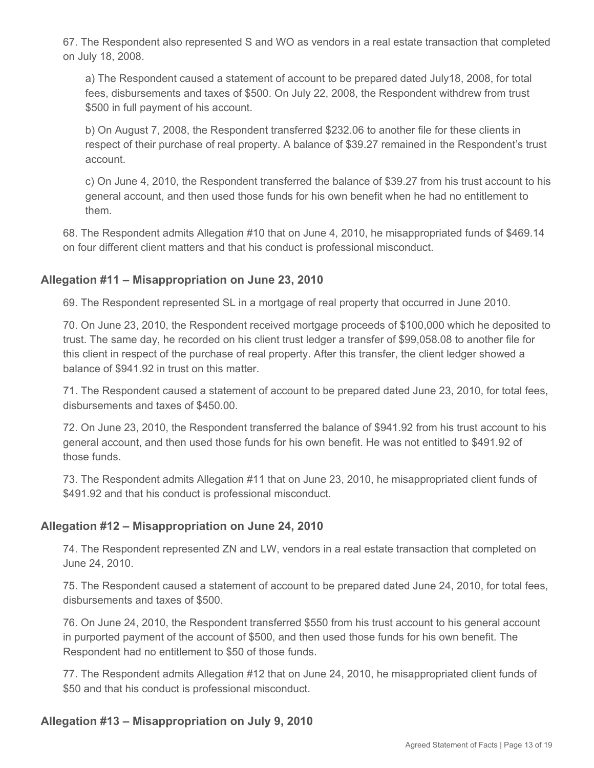67. The Respondent also represented S and WO as vendors in a real estate transaction that completed on July 18, 2008.

a) The Respondent caused a statement of account to be prepared dated July18, 2008, for total fees, disbursements and taxes of \$500. On July 22, 2008, the Respondent withdrew from trust \$500 in full payment of his account.

b) On August 7, 2008, the Respondent transferred \$232.06 to another file for these clients in respect of their purchase of real property. A balance of \$39.27 remained in the Respondent's trust account.

c) On June 4, 2010, the Respondent transferred the balance of \$39.27 from his trust account to his general account, and then used those funds for his own benefit when he had no entitlement to them.

68. The Respondent admits Allegation #10 that on June 4, 2010, he misappropriated funds of \$469.14 on four different client matters and that his conduct is professional misconduct.

### **Allegation #11 – Misappropriation on June 23, 2010**

69. The Respondent represented SL in a mortgage of real property that occurred in June 2010.

70. On June 23, 2010, the Respondent received mortgage proceeds of \$100,000 which he deposited to trust. The same day, he recorded on his client trust ledger a transfer of \$99,058.08 to another file for this client in respect of the purchase of real property. After this transfer, the client ledger showed a balance of \$941.92 in trust on this matter.

71. The Respondent caused a statement of account to be prepared dated June 23, 2010, for total fees, disbursements and taxes of \$450.00.

72. On June 23, 2010, the Respondent transferred the balance of \$941.92 from his trust account to his general account, and then used those funds for his own benefit. He was not entitled to \$491.92 of those funds.

73. The Respondent admits Allegation #11 that on June 23, 2010, he misappropriated client funds of \$491.92 and that his conduct is professional misconduct.

#### **Allegation #12 – Misappropriation on June 24, 2010**

74. The Respondent represented ZN and LW, vendors in a real estate transaction that completed on June 24, 2010.

75. The Respondent caused a statement of account to be prepared dated June 24, 2010, for total fees, disbursements and taxes of \$500.

76. On June 24, 2010, the Respondent transferred \$550 from his trust account to his general account in purported payment of the account of \$500, and then used those funds for his own benefit. The Respondent had no entitlement to \$50 of those funds.

77. The Respondent admits Allegation #12 that on June 24, 2010, he misappropriated client funds of \$50 and that his conduct is professional misconduct.

#### **Allegation #13 – Misappropriation on July 9, 2010**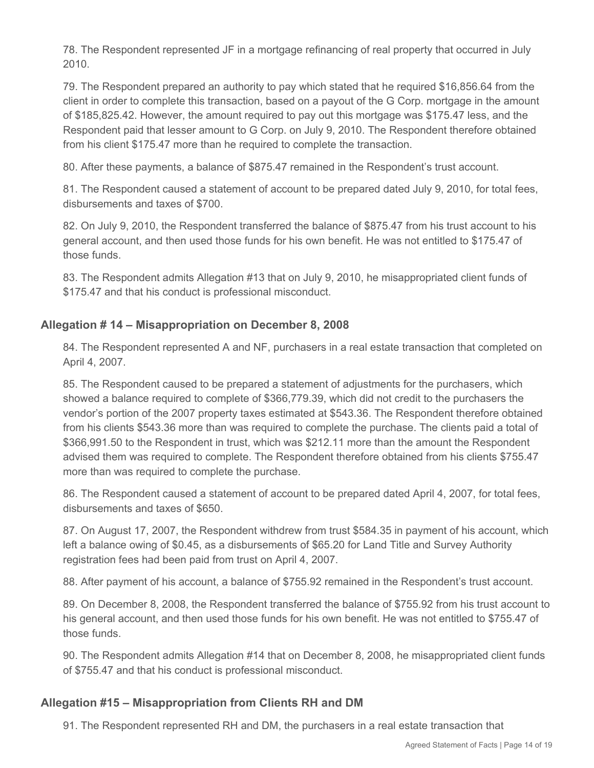78. The Respondent represented JF in a mortgage refinancing of real property that occurred in July 2010.

79. The Respondent prepared an authority to pay which stated that he required \$16,856.64 from the client in order to complete this transaction, based on a payout of the G Corp. mortgage in the amount of \$185,825.42. However, the amount required to pay out this mortgage was \$175.47 less, and the Respondent paid that lesser amount to G Corp. on July 9, 2010. The Respondent therefore obtained from his client \$175.47 more than he required to complete the transaction.

80. After these payments, a balance of \$875.47 remained in the Respondent's trust account.

81. The Respondent caused a statement of account to be prepared dated July 9, 2010, for total fees, disbursements and taxes of \$700.

82. On July 9, 2010, the Respondent transferred the balance of \$875.47 from his trust account to his general account, and then used those funds for his own benefit. He was not entitled to \$175.47 of those funds.

83. The Respondent admits Allegation #13 that on July 9, 2010, he misappropriated client funds of \$175.47 and that his conduct is professional misconduct.

# **Allegation # 14 – Misappropriation on December 8, 2008**

84. The Respondent represented A and NF, purchasers in a real estate transaction that completed on April 4, 2007.

85. The Respondent caused to be prepared a statement of adjustments for the purchasers, which showed a balance required to complete of \$366,779.39, which did not credit to the purchasers the vendor's portion of the 2007 property taxes estimated at \$543.36. The Respondent therefore obtained from his clients \$543.36 more than was required to complete the purchase. The clients paid a total of \$366,991.50 to the Respondent in trust, which was \$212.11 more than the amount the Respondent advised them was required to complete. The Respondent therefore obtained from his clients \$755.47 more than was required to complete the purchase.

86. The Respondent caused a statement of account to be prepared dated April 4, 2007, for total fees, disbursements and taxes of \$650.

87. On August 17, 2007, the Respondent withdrew from trust \$584.35 in payment of his account, which left a balance owing of \$0.45, as a disbursements of \$65.20 for Land Title and Survey Authority registration fees had been paid from trust on April 4, 2007.

88. After payment of his account, a balance of \$755.92 remained in the Respondent's trust account.

89. On December 8, 2008, the Respondent transferred the balance of \$755.92 from his trust account to his general account, and then used those funds for his own benefit. He was not entitled to \$755.47 of those funds.

90. The Respondent admits Allegation #14 that on December 8, 2008, he misappropriated client funds of \$755.47 and that his conduct is professional misconduct.

# **Allegation #15 – Misappropriation from Clients RH and DM**

91. The Respondent represented RH and DM, the purchasers in a real estate transaction that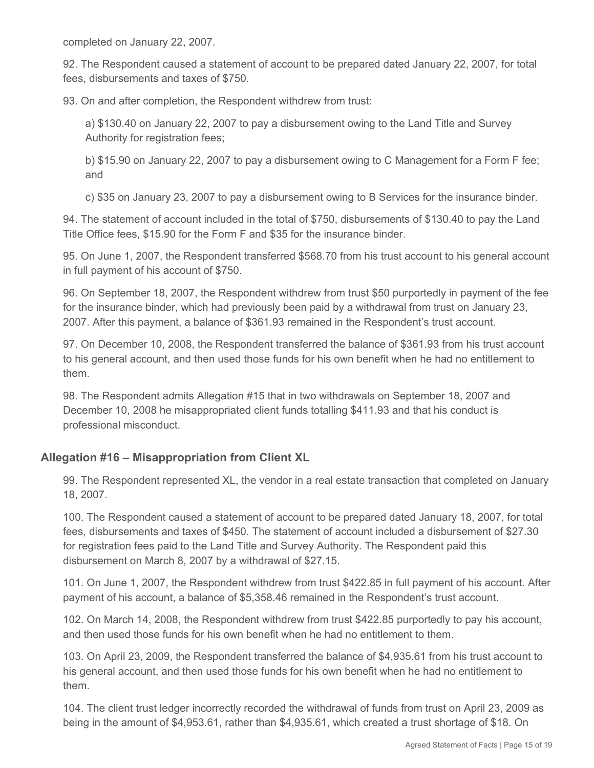completed on January 22, 2007.

92. The Respondent caused a statement of account to be prepared dated January 22, 2007, for total fees, disbursements and taxes of \$750.

93. On and after completion, the Respondent withdrew from trust:

a) \$130.40 on January 22, 2007 to pay a disbursement owing to the Land Title and Survey Authority for registration fees;

b) \$15.90 on January 22, 2007 to pay a disbursement owing to C Management for a Form F fee; and

c) \$35 on January 23, 2007 to pay a disbursement owing to B Services for the insurance binder.

94. The statement of account included in the total of \$750, disbursements of \$130.40 to pay the Land Title Office fees, \$15.90 for the Form F and \$35 for the insurance binder.

95. On June 1, 2007, the Respondent transferred \$568.70 from his trust account to his general account in full payment of his account of \$750.

96. On September 18, 2007, the Respondent withdrew from trust \$50 purportedly in payment of the fee for the insurance binder, which had previously been paid by a withdrawal from trust on January 23, 2007. After this payment, a balance of \$361.93 remained in the Respondent's trust account.

97. On December 10, 2008, the Respondent transferred the balance of \$361.93 from his trust account to his general account, and then used those funds for his own benefit when he had no entitlement to them.

98. The Respondent admits Allegation #15 that in two withdrawals on September 18, 2007 and December 10, 2008 he misappropriated client funds totalling \$411.93 and that his conduct is professional misconduct.

## **Allegation #16 – Misappropriation from Client XL**

99. The Respondent represented XL, the vendor in a real estate transaction that completed on January 18, 2007.

100. The Respondent caused a statement of account to be prepared dated January 18, 2007, for total fees, disbursements and taxes of \$450. The statement of account included a disbursement of \$27.30 for registration fees paid to the Land Title and Survey Authority. The Respondent paid this disbursement on March 8, 2007 by a withdrawal of \$27.15.

101. On June 1, 2007, the Respondent withdrew from trust \$422.85 in full payment of his account. After payment of his account, a balance of \$5,358.46 remained in the Respondent's trust account.

102. On March 14, 2008, the Respondent withdrew from trust \$422.85 purportedly to pay his account, and then used those funds for his own benefit when he had no entitlement to them.

103. On April 23, 2009, the Respondent transferred the balance of \$4,935.61 from his trust account to his general account, and then used those funds for his own benefit when he had no entitlement to them.

104. The client trust ledger incorrectly recorded the withdrawal of funds from trust on April 23, 2009 as being in the amount of \$4,953.61, rather than \$4,935.61, which created a trust shortage of \$18. On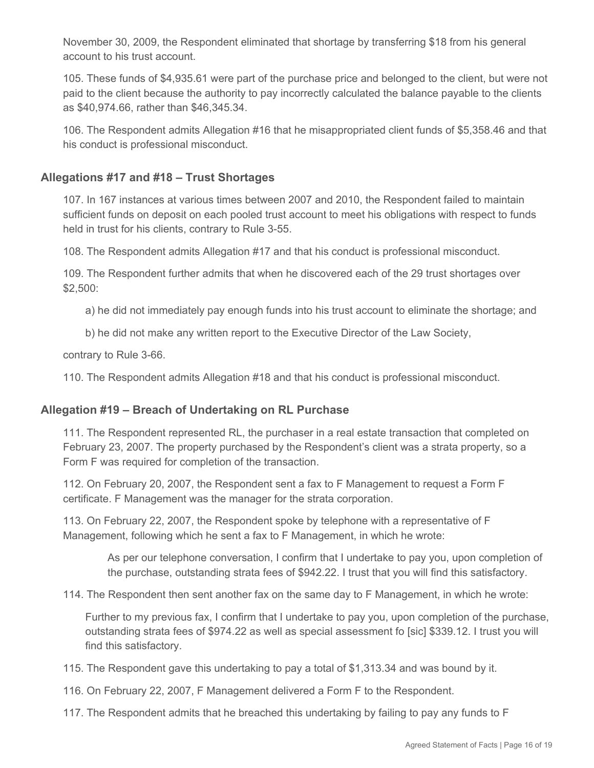November 30, 2009, the Respondent eliminated that shortage by transferring \$18 from his general account to his trust account.

105. These funds of \$4,935.61 were part of the purchase price and belonged to the client, but were not paid to the client because the authority to pay incorrectly calculated the balance payable to the clients as \$40,974.66, rather than \$46,345.34.

106. The Respondent admits Allegation #16 that he misappropriated client funds of \$5,358.46 and that his conduct is professional misconduct.

### **Allegations #17 and #18 – Trust Shortages**

107. In 167 instances at various times between 2007 and 2010, the Respondent failed to maintain sufficient funds on deposit on each pooled trust account to meet his obligations with respect to funds held in trust for his clients, contrary to Rule 3-55.

108. The Respondent admits Allegation #17 and that his conduct is professional misconduct.

109. The Respondent further admits that when he discovered each of the 29 trust shortages over \$2,500:

a) he did not immediately pay enough funds into his trust account to eliminate the shortage; and

b) he did not make any written report to the Executive Director of the Law Society,

contrary to Rule 3-66.

110. The Respondent admits Allegation #18 and that his conduct is professional misconduct.

#### **Allegation #19 – Breach of Undertaking on RL Purchase**

111. The Respondent represented RL, the purchaser in a real estate transaction that completed on February 23, 2007. The property purchased by the Respondent's client was a strata property, so a Form F was required for completion of the transaction.

112. On February 20, 2007, the Respondent sent a fax to F Management to request a Form F certificate. F Management was the manager for the strata corporation.

113. On February 22, 2007, the Respondent spoke by telephone with a representative of F Management, following which he sent a fax to F Management, in which he wrote:

As per our telephone conversation, I confirm that I undertake to pay you, upon completion of the purchase, outstanding strata fees of \$942.22. I trust that you will find this satisfactory.

114. The Respondent then sent another fax on the same day to F Management, in which he wrote:

Further to my previous fax, I confirm that I undertake to pay you, upon completion of the purchase, outstanding strata fees of \$974.22 as well as special assessment fo [sic] \$339.12. I trust you will find this satisfactory.

115. The Respondent gave this undertaking to pay a total of \$1,313.34 and was bound by it.

116. On February 22, 2007, F Management delivered a Form F to the Respondent.

117. The Respondent admits that he breached this undertaking by failing to pay any funds to F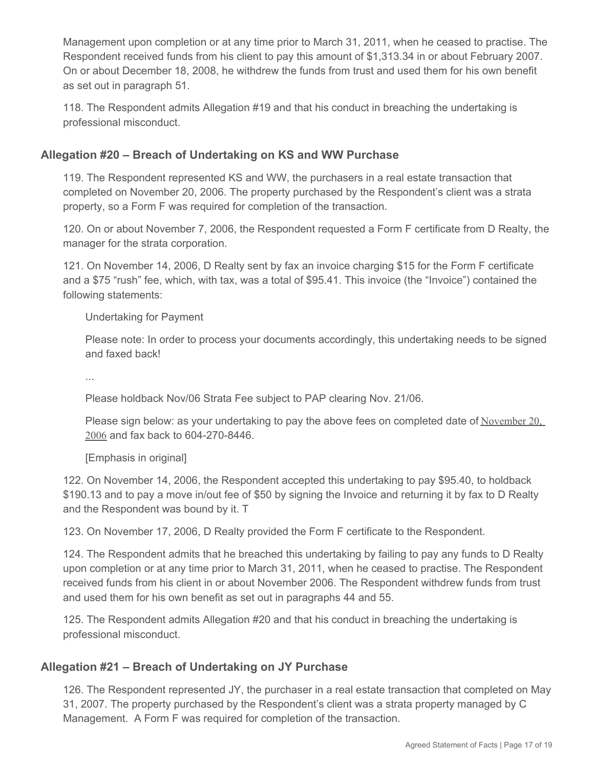Management upon completion or at any time prior to March 31, 2011, when he ceased to practise. The Respondent received funds from his client to pay this amount of \$1,313.34 in or about February 2007. On or about December 18, 2008, he withdrew the funds from trust and used them for his own benefit as set out in paragraph 51.

118. The Respondent admits Allegation #19 and that his conduct in breaching the undertaking is professional misconduct.

# **Allegation #20 – Breach of Undertaking on KS and WW Purchase**

119. The Respondent represented KS and WW, the purchasers in a real estate transaction that completed on November 20, 2006. The property purchased by the Respondent's client was a strata property, so a Form F was required for completion of the transaction.

120. On or about November 7, 2006, the Respondent requested a Form F certificate from D Realty, the manager for the strata corporation.

121. On November 14, 2006, D Realty sent by fax an invoice charging \$15 for the Form F certificate and a \$75 "rush" fee, which, with tax, was a total of \$95.41. This invoice (the "Invoice") contained the following statements:

Undertaking for Payment

Please note: In order to process your documents accordingly, this undertaking needs to be signed and faxed back!

...

Please holdback Nov/06 Strata Fee subject to PAP clearing Nov. 21/06.

Please sign below: as your undertaking to pay the above fees on completed date of November 20, 2006 and fax back to 604-270-8446.

[Emphasis in original]

122. On November 14, 2006, the Respondent accepted this undertaking to pay \$95.40, to holdback \$190.13 and to pay a move in/out fee of \$50 by signing the Invoice and returning it by fax to D Realty and the Respondent was bound by it. T

123. On November 17, 2006, D Realty provided the Form F certificate to the Respondent.

124. The Respondent admits that he breached this undertaking by failing to pay any funds to D Realty upon completion or at any time prior to March 31, 2011, when he ceased to practise. The Respondent received funds from his client in or about November 2006. The Respondent withdrew funds from trust and used them for his own benefit as set out in paragraphs 44 and 55.

125. The Respondent admits Allegation #20 and that his conduct in breaching the undertaking is professional misconduct.

# **Allegation #21 – Breach of Undertaking on JY Purchase**

126. The Respondent represented JY, the purchaser in a real estate transaction that completed on May 31, 2007. The property purchased by the Respondent's client was a strata property managed by C Management. A Form F was required for completion of the transaction.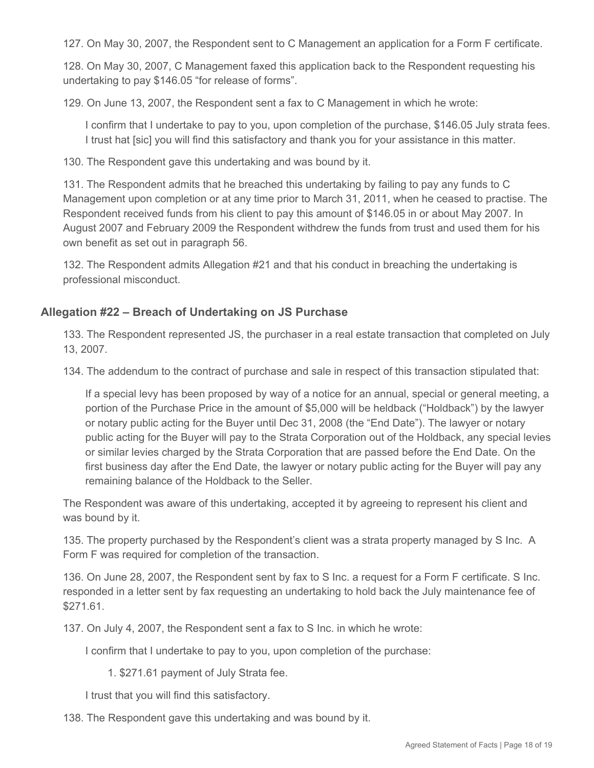127. On May 30, 2007, the Respondent sent to C Management an application for a Form F certificate.

128. On May 30, 2007, C Management faxed this application back to the Respondent requesting his undertaking to pay \$146.05 "for release of forms".

129. On June 13, 2007, the Respondent sent a fax to C Management in which he wrote:

I confirm that I undertake to pay to you, upon completion of the purchase, \$146.05 July strata fees. I trust hat [sic] you will find this satisfactory and thank you for your assistance in this matter.

130. The Respondent gave this undertaking and was bound by it.

131. The Respondent admits that he breached this undertaking by failing to pay any funds to C Management upon completion or at any time prior to March 31, 2011, when he ceased to practise. The Respondent received funds from his client to pay this amount of \$146.05 in or about May 2007. In August 2007 and February 2009 the Respondent withdrew the funds from trust and used them for his own benefit as set out in paragraph 56.

132. The Respondent admits Allegation #21 and that his conduct in breaching the undertaking is professional misconduct.

### **Allegation #22 – Breach of Undertaking on JS Purchase**

133. The Respondent represented JS, the purchaser in a real estate transaction that completed on July 13, 2007.

134. The addendum to the contract of purchase and sale in respect of this transaction stipulated that:

If a special levy has been proposed by way of a notice for an annual, special or general meeting, a portion of the Purchase Price in the amount of \$5,000 will be heldback ("Holdback") by the lawyer or notary public acting for the Buyer until Dec 31, 2008 (the "End Date"). The lawyer or notary public acting for the Buyer will pay to the Strata Corporation out of the Holdback, any special levies or similar levies charged by the Strata Corporation that are passed before the End Date. On the first business day after the End Date, the lawyer or notary public acting for the Buyer will pay any remaining balance of the Holdback to the Seller.

The Respondent was aware of this undertaking, accepted it by agreeing to represent his client and was bound by it.

135. The property purchased by the Respondent's client was a strata property managed by S Inc. A Form F was required for completion of the transaction.

136. On June 28, 2007, the Respondent sent by fax to S Inc. a request for a Form F certificate. S Inc. responded in a letter sent by fax requesting an undertaking to hold back the July maintenance fee of \$271.61.

137. On July 4, 2007, the Respondent sent a fax to S Inc. in which he wrote:

I confirm that I undertake to pay to you, upon completion of the purchase:

1. \$271.61 payment of July Strata fee.

I trust that you will find this satisfactory.

138. The Respondent gave this undertaking and was bound by it.